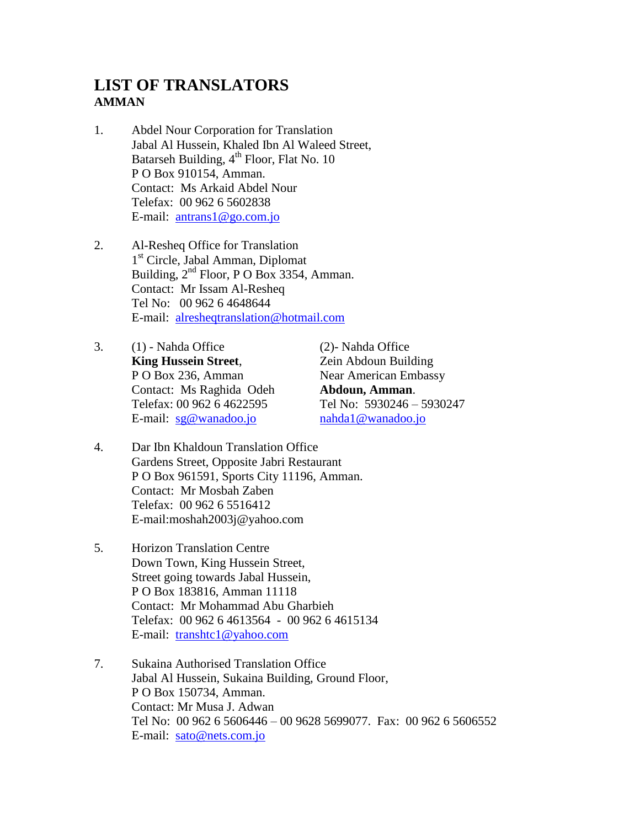## **LIST OF TRANSLATORS AMMAN**

- 1. Abdel Nour Corporation for Translation Jabal Al Hussein, Khaled Ibn Al Waleed Street, Batarseh Building,  $4^{th}$  Floor, Flat No. 10 P O Box 910154, Amman. Contact: Ms Arkaid Abdel Nour Telefax: 00 962 6 5602838 E-mail: [antrans1@go.com.jo](mailto:antrans1@go.com.jo)
- 2. Al-Resheq Office for Translation 1 st Circle, Jabal Amman, Diplomat Building, 2nd Floor, P O Box 3354, Amman. Contact: Mr Issam Al-Resheq Tel No: 00 962 6 4648644 E-mail: [alresheqtranslation@hotmail.com](mailto:alresheqtranslation@hotmail.com)
- 3. (1) Nahda Office (2)- Nahda Office **King Hussein Street, Zein Abdoun Building** P O Box 236, Amman Near American Embassy Contact: Ms Raghida Odeh **Abdoun, Amman**. Telefax: 00 962 6 4622595 Tel No: 5930246 – 5930247 E-mail:  $sg@wanadoo.io$  [nahda1@wanadoo.jo](mailto:nahda1@wanadoo.jo)

- 4. Dar Ibn Khaldoun Translation Office Gardens Street, Opposite Jabri Restaurant P O Box 961591, Sports City 11196, Amman. Contact: Mr Mosbah Zaben Telefax: 00 962 6 5516412 E-mail:moshah2003j@yahoo.com
- 5. Horizon Translation Centre Down Town, King Hussein Street, Street going towards Jabal Hussein, P O Box 183816, Amman 11118 Contact: Mr Mohammad Abu Gharbieh Telefax: 00 962 6 4613564 - 00 962 6 4615134 E-mail: [transhtc1@yahoo.com](mailto:transhtc@yahoo.com)
- 7. Sukaina Authorised Translation Office Jabal Al Hussein, Sukaina Building, Ground Floor, P O Box 150734, Amman. Contact: Mr Musa J. Adwan Tel No: 00 962 6 5606446 – 00 9628 5699077. Fax: 00 962 6 5606552 E-mail: [sato@nets.com.jo](mailto:sato@net.com.jo)